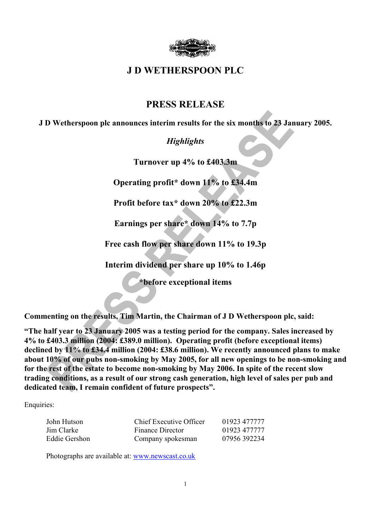

# **J D WETHERSPOON PLC**

# **PRESS RELEASE**

**J D Wetherspoon plc announces interim results for the six months to 23 January 2005.** 

# *Highlights*

**Turnover up 4% to £403.3m** 

**Operating profit\* down 11% to £34.4m** 

**Profit before tax\* down 20% to £22.3m** 

**Earnings per share\* down 14% to 7.7p** 

**Free cash flow per share down 11% to 19.3p** 

**Interim dividend per share up 10% to 1.46p** 

**\*before exceptional items** 

**Commenting on the results, Tim Martin, the Chairman of J D Wetherspoon plc, said:**

**"The half year to 23 January 2005 was a testing period for the company. Sales increased by 4% to £403.3 million (2004: £389.0 million). Operating profit (before exceptional items) declined by 11% to £34.4 million (2004: £38.6 million). We recently announced plans to make about 10% of our pubs non-smoking by May 2005, for all new openings to be non-smoking and for the rest of the estate to become non-smoking by May 2006. In spite of the recent slow trading conditions, as a result of our strong cash generation, high level of sales per pub and dedicated team, I remain confident of future prospects".** 

Enquiries:

| John Hutson   | Chief Executive Officer | 01923 477777 |
|---------------|-------------------------|--------------|
| Jim Clarke    | Finance Director        | 01923 477777 |
| Eddie Gershon | Company spokesman       | 07956 392234 |

Photographs are available at: www.newscast.co.uk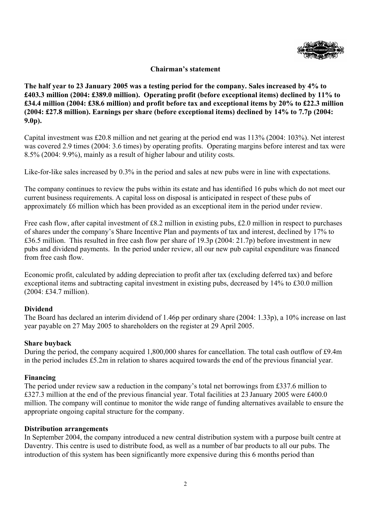

## **Chairman's statement**

**The half year to 23 January 2005 was a testing period for the company. Sales increased by 4% to £403.3 million (2004: £389.0 million). Operating profit (before exceptional items) declined by 11% to £34.4 million (2004: £38.6 million) and profit before tax and exceptional items by 20% to £22.3 million (2004: £27.8 million). Earnings per share (before exceptional items) declined by 14% to 7.7p (2004: 9.0p).** 

Capital investment was £20.8 million and net gearing at the period end was 113% (2004: 103%). Net interest was covered 2.9 times (2004: 3.6 times) by operating profits. Operating margins before interest and tax were 8.5% (2004: 9.9%), mainly as a result of higher labour and utility costs.

Like-for-like sales increased by 0.3% in the period and sales at new pubs were in line with expectations.

The company continues to review the pubs within its estate and has identified 16 pubs which do not meet our current business requirements. A capital loss on disposal is anticipated in respect of these pubs of approximately £6 million which has been provided as an exceptional item in the period under review.

Free cash flow, after capital investment of £8.2 million in existing pubs, £2.0 million in respect to purchases of shares under the company's Share Incentive Plan and payments of tax and interest, declined by 17% to £36.5 million. This resulted in free cash flow per share of 19.3p (2004: 21.7p) before investment in new pubs and dividend payments. In the period under review, all our new pub capital expenditure was financed from free cash flow.

Economic profit, calculated by adding depreciation to profit after tax (excluding deferred tax) and before exceptional items and subtracting capital investment in existing pubs, decreased by 14% to £30.0 million (2004: £34.7 million).

## **Dividend**

The Board has declared an interim dividend of 1.46p per ordinary share (2004: 1.33p), a 10% increase on last year payable on 27 May 2005 to shareholders on the register at 29 April 2005.

#### **Share buyback**

During the period, the company acquired 1,800,000 shares for cancellation. The total cash outflow of £9.4m in the period includes £5.2m in relation to shares acquired towards the end of the previous financial year.

#### **Financing**

The period under review saw a reduction in the company's total net borrowings from £337.6 million to £327.3 million at the end of the previous financial year. Total facilities at 23 January 2005 were £400.0 million. The company will continue to monitor the wide range of funding alternatives available to ensure the appropriate ongoing capital structure for the company.

#### **Distribution arrangements**

In September 2004, the company introduced a new central distribution system with a purpose built centre at Daventry. This centre is used to distribute food, as well as a number of bar products to all our pubs. The introduction of this system has been significantly more expensive during this 6 months period than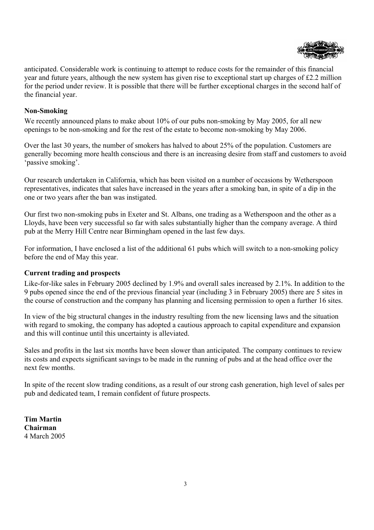

anticipated. Considerable work is continuing to attempt to reduce costs for the remainder of this financial year and future years, although the new system has given rise to exceptional start up charges of £2.2 million for the period under review. It is possible that there will be further exceptional charges in the second half of the financial year.

## **Non-Smoking**

We recently announced plans to make about 10% of our pubs non-smoking by May 2005, for all new openings to be non-smoking and for the rest of the estate to become non-smoking by May 2006.

Over the last 30 years, the number of smokers has halved to about 25% of the population. Customers are generally becoming more health conscious and there is an increasing desire from staff and customers to avoid 'passive smoking'.

Our research undertaken in California, which has been visited on a number of occasions by Wetherspoon representatives, indicates that sales have increased in the years after a smoking ban, in spite of a dip in the one or two years after the ban was instigated.

Our first two non-smoking pubs in Exeter and St. Albans, one trading as a Wetherspoon and the other as a Lloyds, have been very successful so far with sales substantially higher than the company average. A third pub at the Merry Hill Centre near Birmingham opened in the last few days.

For information, I have enclosed a list of the additional 61 pubs which will switch to a non-smoking policy before the end of May this year.

## **Current trading and prospects**

Like-for-like sales in February 2005 declined by 1.9% and overall sales increased by 2.1%. In addition to the 9 pubs opened since the end of the previous financial year (including 3 in February 2005) there are 5 sites in the course of construction and the company has planning and licensing permission to open a further 16 sites.

In view of the big structural changes in the industry resulting from the new licensing laws and the situation with regard to smoking, the company has adopted a cautious approach to capital expenditure and expansion and this will continue until this uncertainty is alleviated.

Sales and profits in the last six months have been slower than anticipated. The company continues to review its costs and expects significant savings to be made in the running of pubs and at the head office over the next few months.

In spite of the recent slow trading conditions, as a result of our strong cash generation, high level of sales per pub and dedicated team, I remain confident of future prospects.

**Tim Martin Chairman**  4 March 2005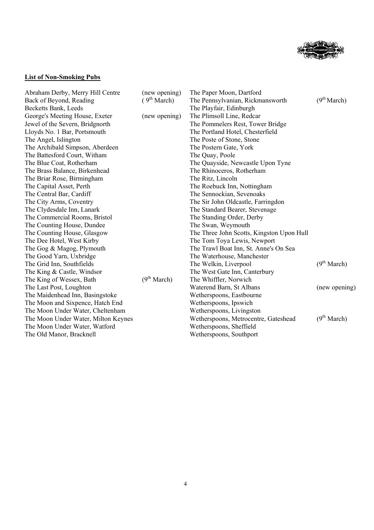

# **List of Non-Smoking Pubs**

| Abraham Derby, Merry Hill Centre    | (new opening)           | The Paper Moon, Dartford                  |                         |
|-------------------------------------|-------------------------|-------------------------------------------|-------------------------|
| Back of Beyond, Reading             | (9 <sup>th</sup> March) | The Pennsylvanian, Rickmansworth          | (9 <sup>th</sup> March) |
| Becketts Bank, Leeds                |                         | The Playfair, Edinburgh                   |                         |
| George's Meeting House, Exeter      | (new opening)           | The Plimsoll Line, Redcar                 |                         |
| Jewel of the Severn, Bridgnorth     |                         | The Pommelers Rest, Tower Bridge          |                         |
| Lloyds No. 1 Bar, Portsmouth        |                         | The Portland Hotel, Chesterfield          |                         |
| The Angel, Islington                |                         | The Poste of Stone, Stone                 |                         |
| The Archibald Simpson, Aberdeen     |                         | The Postern Gate, York                    |                         |
| The Battesford Court, Witham        |                         | The Quay, Poole                           |                         |
| The Blue Coat, Rotherham            |                         | The Quayside, Newcastle Upon Tyne         |                         |
| The Brass Balance, Birkenhead       |                         | The Rhinoceros, Rotherham                 |                         |
| The Briar Rose, Birmingham          |                         | The Ritz, Lincoln                         |                         |
| The Capital Asset, Perth            |                         | The Roebuck Inn, Nottingham               |                         |
| The Central Bar, Cardiff            |                         | The Sennockian, Sevenoaks                 |                         |
| The City Arms, Coventry             |                         | The Sir John Oldcastle, Farringdon        |                         |
| The Clydesdale Inn, Lanark          |                         | The Standard Bearer, Stevenage            |                         |
| The Commercial Rooms, Bristol       |                         | The Standing Order, Derby                 |                         |
| The Counting House, Dundee          |                         | The Swan, Weymouth                        |                         |
| The Counting House, Glasgow         |                         | The Three John Scotts, Kingston Upon Hull |                         |
| The Dee Hotel, West Kirby           |                         | The Tom Toya Lewis, Newport               |                         |
| The Gog & Magog, Plymouth           |                         | The Trawl Boat Inn, St. Anne's On Sea     |                         |
| The Good Yarn, Uxbridge             |                         | The Waterhouse, Manchester                |                         |
| The Grid Inn, Southfields           |                         | The Welkin, Liverpool                     | (9 <sup>th</sup> March) |
| The King & Castle, Windsor          |                         | The West Gate Inn, Canterbury             |                         |
| The King of Wessex, Bath            | (9 <sup>th</sup> March) | The Whiffler, Norwich                     |                         |
| The Last Post, Loughton             |                         | Waterend Barn, St Albans                  | (new opening)           |
| The Maidenhead Inn, Basingstoke     |                         | Wetherspoons, Eastbourne                  |                         |
| The Moon and Sixpence, Hatch End    |                         | Wetherspoons, Ipswich                     |                         |
| The Moon Under Water, Cheltenham    |                         | Wetherspoons, Livingston                  |                         |
| The Moon Under Water, Milton Keynes |                         | Wetherspoons, Metrocentre, Gateshead      | (9 <sup>th</sup> March) |
| The Moon Under Water, Watford       |                         | Wetherspoons, Sheffield                   |                         |
| The Old Manor, Bracknell            |                         | Wetherspoons, Southport                   |                         |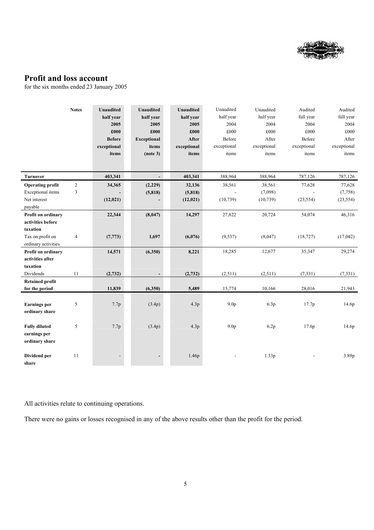

# **Profit and loss account**

for the six months ended 23 January 2005

|                                                        | <b>Notes</b>   | <b>Unaudited</b><br>half year<br>2005<br>£000<br><b>Before</b> | <b>Unaudited</b><br>half year<br>2005<br>£000<br><b>Exceptional</b> | <b>Unaudited</b><br>half year<br>2005<br>£000<br><b>After</b> | Unaudited<br>half year<br>2004<br>£000<br>Before | Unaudited<br>half year<br>2004<br>£000<br>After | Audited<br>full year<br>2004<br>£000<br>Before | Audited<br>full year<br>2004<br>£000<br>After |
|--------------------------------------------------------|----------------|----------------------------------------------------------------|---------------------------------------------------------------------|---------------------------------------------------------------|--------------------------------------------------|-------------------------------------------------|------------------------------------------------|-----------------------------------------------|
|                                                        |                | exceptional                                                    | items                                                               | exceptional                                                   | exceptional                                      | exceptional                                     | exceptional                                    | exceptional                                   |
|                                                        |                | items                                                          | (note 3)                                                            | items                                                         | items                                            | items                                           | items                                          | items                                         |
|                                                        |                |                                                                |                                                                     |                                                               |                                                  |                                                 |                                                |                                               |
| Turnover                                               |                | 403,341                                                        | $\mathcal{L}^{\pm}$                                                 | 403,341                                                       | 388,964                                          | 388,964                                         | 787,126                                        | 787,126                                       |
| <b>Operating profit</b>                                | $\sqrt{2}$     | 34,365                                                         | (2,229)                                                             | 32,136                                                        | 38,561                                           | 38,561                                          | 77,628                                         | 77,628                                        |
| Exceptional items                                      | 3              |                                                                | (5, 818)                                                            | (5,818)                                                       |                                                  | (7,098)                                         |                                                | (7,758)                                       |
| Net interest<br>payable                                |                | (12, 021)                                                      |                                                                     | (12,021)                                                      | (10, 739)                                        | (10, 739)                                       | (23, 554)                                      | (23, 554)                                     |
| Profit on ordinary<br>activities before<br>taxation    |                | 22,344                                                         | (8,047)                                                             | 14,297                                                        | 27,822                                           | 20,724                                          | 54,074                                         | 46,316                                        |
| Tax on profit on<br>ordinary activities                | $\overline{4}$ | (7, 773)                                                       | 1,697                                                               | (6,076)                                                       | (9, 537)                                         | (8,047)                                         | (18, 727)                                      | (17, 042)                                     |
| Profit on ordinary<br>activities after<br>taxation     |                | 14,571                                                         | (6,350)                                                             | 8,221                                                         | 18,285                                           | 12,677                                          | 35,347                                         | 29,274                                        |
| Dividends                                              | $11\,$         | (2,732)                                                        |                                                                     | (2,732)                                                       | (2,511)                                          | (2,511)                                         | (7, 331)                                       | (7,331)                                       |
| <b>Retained profit</b><br>for the period               |                | 11,839                                                         | (6,350)                                                             | 5,489                                                         | 15,774                                           | 10,166                                          | 28,016                                         | 21,943                                        |
| <b>Earnings</b> per<br>ordinary share                  | 5              | 7.7p                                                           | (3.4p)                                                              | 4.3p                                                          | 9.0 <sub>p</sub>                                 | 6.3p                                            | 17.7p                                          | 14.6p                                         |
| <b>Fully diluted</b><br>earnings per<br>ordinary share | 5              | 7.7p                                                           | (3.4p)                                                              | 4.3p                                                          | 9.0 <sub>p</sub>                                 | 6.2p                                            | 17.6p                                          | 14.6p                                         |
| Dividend per<br>share                                  | 11             |                                                                |                                                                     | 1.46p                                                         |                                                  | 1.33p                                           |                                                | 3.89p                                         |

All activities relate to continuing operations.

There were no gains or losses recognised in any of the above results other than the profit for the period.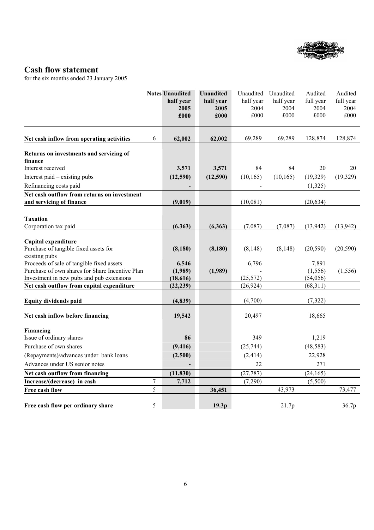

# **Cash flow statement**

for the six months ended 23 January 2005

|                                                                         |                | <b>Notes Unaudited</b><br>half year<br>2005<br>£000 | <b>Unaudited</b><br>half year<br>2005<br>£000 | Unaudited<br>half year<br>2004<br>£000 | Unaudited<br>half year<br>2004<br>£000 | Audited<br>full year<br>2004<br>£000 | Audited<br>full year<br>2004<br>£000 |
|-------------------------------------------------------------------------|----------------|-----------------------------------------------------|-----------------------------------------------|----------------------------------------|----------------------------------------|--------------------------------------|--------------------------------------|
| Net cash inflow from operating activities                               | 6              | 62,002                                              | 62,002                                        | 69,289                                 | 69,289                                 | 128,874                              | 128,874                              |
| Returns on investments and servicing of                                 |                |                                                     |                                               |                                        |                                        |                                      |                                      |
| finance                                                                 |                |                                                     |                                               |                                        |                                        |                                      |                                      |
| Interest received                                                       |                | 3,571                                               | 3,571                                         | 84                                     | 84                                     | 20                                   | 20                                   |
| Interest paid – existing pubs                                           |                | (12,590)                                            | (12,590)                                      | (10, 165)                              | (10, 165)                              | (19,329)                             | (19,329)                             |
| Refinancing costs paid                                                  |                |                                                     |                                               |                                        |                                        | (1,325)                              |                                      |
| Net cash outflow from returns on investment<br>and servicing of finance |                | (9,019)                                             |                                               | (10,081)                               |                                        | (20, 634)                            |                                      |
|                                                                         |                |                                                     |                                               |                                        |                                        |                                      |                                      |
| <b>Taxation</b>                                                         |                |                                                     |                                               |                                        |                                        |                                      |                                      |
| Corporation tax paid                                                    |                | (6,363)                                             | (6,363)                                       | (7,087)                                | (7,087)                                | (13,942)                             | (13, 942)                            |
|                                                                         |                |                                                     |                                               |                                        |                                        |                                      |                                      |
| Capital expenditure                                                     |                |                                                     |                                               |                                        |                                        |                                      |                                      |
| Purchase of tangible fixed assets for<br>existing pubs                  |                | (8,180)                                             | (8,180)                                       | (8, 148)                               | (8, 148)                               | (20, 590)                            | (20, 590)                            |
| Proceeds of sale of tangible fixed assets                               |                | 6,546                                               |                                               | 6,796                                  |                                        | 7,891                                |                                      |
| Purchase of own shares for Share Incentive Plan                         |                | (1,989)                                             | (1,989)                                       |                                        |                                        | (1, 556)                             | (1, 556)                             |
| Investment in new pubs and pub extensions                               |                | (18, 616)                                           |                                               | (25, 572)                              |                                        | (54,056)                             |                                      |
| Net cash outflow from capital expenditure                               |                | (22, 239)                                           |                                               | (26, 924)                              |                                        | (68,311)                             |                                      |
| <b>Equity dividends paid</b>                                            |                | (4, 839)                                            |                                               | (4,700)                                |                                        | (7, 322)                             |                                      |
| Net cash inflow before financing                                        |                | 19,542                                              |                                               | 20,497                                 |                                        | 18,665                               |                                      |
| Financing                                                               |                |                                                     |                                               |                                        |                                        |                                      |                                      |
| Issue of ordinary shares                                                |                | 86                                                  |                                               | 349                                    |                                        | 1,219                                |                                      |
| Purchase of own shares                                                  |                | (9, 416)                                            |                                               | (25, 744)                              |                                        | (48, 583)                            |                                      |
| (Repayments)/advances under bank loans                                  |                | (2,500)                                             |                                               | (2, 414)                               |                                        | 22,928                               |                                      |
| Advances under US senior notes                                          |                |                                                     |                                               | 22                                     |                                        | 271                                  |                                      |
| Net cash outflow from financing                                         |                | (11, 830)                                           |                                               | (27, 787)                              |                                        | (24, 165)                            |                                      |
| Increase/(decrease) in cash                                             | $\overline{7}$ | 7,712                                               |                                               | (7,290)                                |                                        | (5,500)                              |                                      |
| Free cash flow                                                          | 5              |                                                     | 36,451                                        |                                        | 43,973                                 |                                      | 73,477                               |
| Free cash flow per ordinary share                                       | 5              |                                                     | 19.3p                                         |                                        | 21.7p                                  |                                      | 36.7p                                |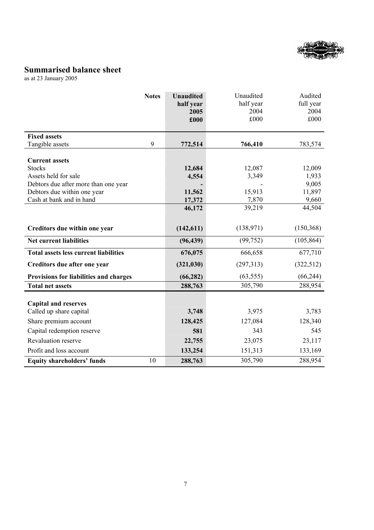

# **Summarised balance sheet**

as at 23 January 2005

|                                              | <b>Notes</b> | <b>Unaudited</b><br>half year | Unaudited<br>half year | Audited<br>full year |
|----------------------------------------------|--------------|-------------------------------|------------------------|----------------------|
|                                              |              | 2005<br>£000                  | 2004<br>£000           | 2004<br>£000         |
| <b>Fixed assets</b>                          |              |                               |                        |                      |
| Tangible assets                              | 9            | 772,514                       | 766,410                | 783,574              |
|                                              |              |                               |                        |                      |
| <b>Current assets</b>                        |              |                               |                        |                      |
| <b>Stocks</b>                                |              | 12,684                        | 12,087                 | 12,009               |
| Assets held for sale                         |              | 4,554                         | 3,349                  | 1,933                |
| Debtors due after more than one year         |              |                               |                        | 9,005                |
| Debtors due within one year                  |              | 11,562                        | 15,913                 | 11,897               |
| Cash at bank and in hand                     |              | 17,372                        | 7,870                  | 9,660                |
|                                              |              | 46,172                        | 39,219                 | 44,504               |
|                                              |              |                               |                        |                      |
| Creditors due within one year                |              | (142, 611)                    | (138,971)              | (150, 368)           |
| <b>Net current liabilities</b>               |              | (96, 439)                     | (99, 752)              | (105, 864)           |
| <b>Total assets less current liabilities</b> |              | 676,075                       | 666,658                | 677,710              |
| Creditors due after one year                 |              | (321, 030)                    | (297,313)              | (322, 512)           |
| Provisions for liabilities and charges       |              | (66, 282)                     | (63, 555)              | (66, 244)            |
| <b>Total net assets</b>                      |              | 288,763                       | 305,790                | 288,954              |
|                                              |              |                               |                        |                      |
| <b>Capital and reserves</b>                  |              |                               |                        |                      |
| Called up share capital                      |              | 3,748                         | 3,975                  | 3,783                |
| Share premium account                        |              | 128,425                       | 127,084                | 128,340              |
| Capital redemption reserve                   |              | 581                           | 343                    | 545                  |
| Revaluation reserve                          |              | 22,755                        | 23,075                 | 23,117               |
| Profit and loss account                      |              | 133,254                       | 151,313                | 133,169              |
| <b>Equity shareholders' funds</b>            | 10           | 288,763                       | 305,790                | 288,954              |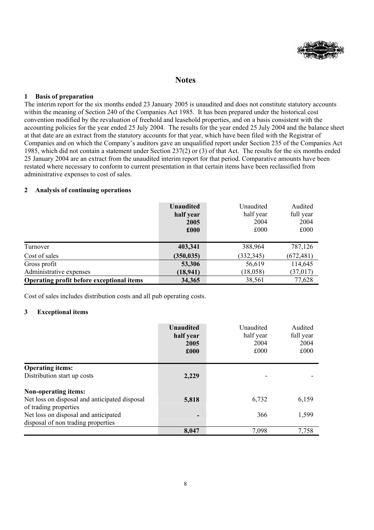

## **Notes**

#### **1 Basis of preparation**

The interim report for the six months ended 23 January 2005 is unaudited and does not constitute statutory accounts within the meaning of Section 240 of the Companies Act 1985. It has been prepared under the historical cost convention modified by the revaluation of freehold and leasehold properties, and on a basis consistent with the accounting policies for the year ended 25 July 2004. The results for the year ended 25 July 2004 and the balance sheet at that date are an extract from the statutory accounts for that year, which have been filed with the Registrar of Companies and on which the Company's auditors gave an unqualified report under Section 235 of the Companies Act 1985, which did not contain a statement under Section 237(2) or (3) of that Act. The results for the six months ended 25 January 2004 are an extract from the unaudited interim report for that period. Comparative amounts have been restated where necessary to conform to current presentation in that certain items have been reclassified from administrative expenses to cost of sales.

#### **2 Analysis of continuing operations**

|                                           | <b>Unaudited</b><br>half year<br>2005<br>£000 | Unaudited<br>half year<br>2004<br>£000 | Audited<br>full year<br>2004<br>£000 |
|-------------------------------------------|-----------------------------------------------|----------------------------------------|--------------------------------------|
| Turnover                                  | 403,341                                       | 388,964                                | 787,126                              |
| Cost of sales                             | (350, 035)                                    | (332, 345)                             | (672, 481)                           |
| Gross profit                              | 53,306                                        | 56,619                                 | 114,645                              |
| Administrative expenses                   | (18, 941)                                     | (18, 058)                              | (37, 017)                            |
| Operating profit before exceptional items | 34,365                                        | 38,561                                 | 77,628                               |

Cost of sales includes distribution costs and all pub operating costs.

#### **3 Exceptional items**

|                                               | <b>Unaudited</b><br>half year<br>2005<br>£000 | Unaudited<br>half year<br>2004<br>£000 | Audited<br>full year<br>2004<br>£000 |
|-----------------------------------------------|-----------------------------------------------|----------------------------------------|--------------------------------------|
| <b>Operating items:</b>                       |                                               |                                        |                                      |
| Distribution start up costs                   | 2,229                                         | ۰                                      |                                      |
| <b>Non-operating items:</b>                   |                                               |                                        |                                      |
| Net loss on disposal and anticipated disposal | 5,818                                         | 6,732                                  | 6,159                                |
| of trading properties                         |                                               |                                        |                                      |
| Net loss on disposal and anticipated          | $\overline{\phantom{a}}$                      | 366                                    | 1,599                                |
| disposal of non trading properties            |                                               |                                        |                                      |
|                                               | 8,047                                         | 7,098                                  | 7,758                                |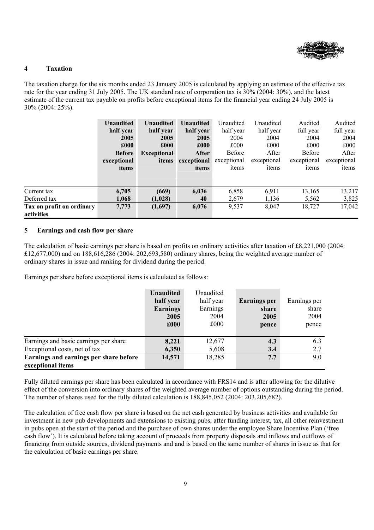

#### **4 Taxation**

The taxation charge for the six months ended 23 January 2005 is calculated by applying an estimate of the effective tax rate for the year ending 31 July 2005. The UK standard rate of corporation tax is 30% (2004: 30%), and the latest estimate of the current tax payable on profits before exceptional items for the financial year ending 24 July 2005 is 30% (2004: 25%).

|                                                          | <b>Unaudited</b><br>half year<br>2005<br>£000<br><b>Before</b><br>exceptional<br>items | <b>Unaudited</b><br>half year<br>2005<br>£000<br><b>Exceptional</b><br>items | <b>Unaudited</b><br>half year<br>2005<br>£000<br>After<br>exceptional<br>items | Unaudited<br>half year<br>2004<br>£000<br><b>Before</b><br>exceptional<br>items | Unaudited<br>half year<br>2004<br>£000<br>After<br>exceptional<br>items | Audited<br>full year<br>2004<br>£000<br>Before<br>exceptional<br>items | Audited<br>full year<br>2004<br>£000<br>After<br>exceptional<br>items |
|----------------------------------------------------------|----------------------------------------------------------------------------------------|------------------------------------------------------------------------------|--------------------------------------------------------------------------------|---------------------------------------------------------------------------------|-------------------------------------------------------------------------|------------------------------------------------------------------------|-----------------------------------------------------------------------|
| Current tax<br>Deferred tax<br>Tax on profit on ordinary | 6,705<br>1,068<br>7,773                                                                | (669)<br>(1,028)<br>(1,697)                                                  | 6,036<br>40<br>6,076                                                           | 6,858<br>2,679<br>9,537                                                         | 6,911<br>1,136<br>8,047                                                 | 13,165<br>5,562<br>18,727                                              | 13,217<br>3,825<br>17,042                                             |
| activities                                               |                                                                                        |                                                                              |                                                                                |                                                                                 |                                                                         |                                                                        |                                                                       |

#### **5 Earnings and cash flow per share**

The calculation of basic earnings per share is based on profits on ordinary activities after taxation of £8,221,000 (2004: £12,677,000) and on 188,616,286 (2004: 202,693,580) ordinary shares, being the weighted average number of ordinary shares in issue and ranking for dividend during the period.

Earnings per share before exceptional items is calculated as follows:

|                                                             | <b>Unaudited</b><br>half year<br><b>Earnings</b><br>2005<br>£000 | Unaudited<br>half year<br>Earnings<br>2004<br>£000 | <b>Earnings per</b><br>share<br>2005<br>pence | Earnings per<br>share<br>2004<br>pence |
|-------------------------------------------------------------|------------------------------------------------------------------|----------------------------------------------------|-----------------------------------------------|----------------------------------------|
| Earnings and basic earnings per share                       | 8,221                                                            | 12,677                                             | 4.3                                           | 6.3                                    |
| Exceptional costs, net of tax                               | 6,350                                                            | 5,608                                              | 3.4                                           | 2.7                                    |
| Earnings and earnings per share before<br>exceptional items | 14,571                                                           | 18,285                                             | 7.7                                           | 9.0                                    |

Fully diluted earnings per share has been calculated in accordance with FRS14 and is after allowing for the dilutive effect of the conversion into ordinary shares of the weighted average number of options outstanding during the period. The number of shares used for the fully diluted calculation is 188,845,052 (2004: 203,205,682).

The calculation of free cash flow per share is based on the net cash generated by business activities and available for investment in new pub developments and extensions to existing pubs, after funding interest, tax, all other reinvestment in pubs open at the start of the period and the purchase of own shares under the employee Share Incentive Plan ('free cash flow'). It is calculated before taking account of proceeds from property disposals and inflows and outflows of financing from outside sources, dividend payments and and is based on the same number of shares in issue as that for the calculation of basic earnings per share.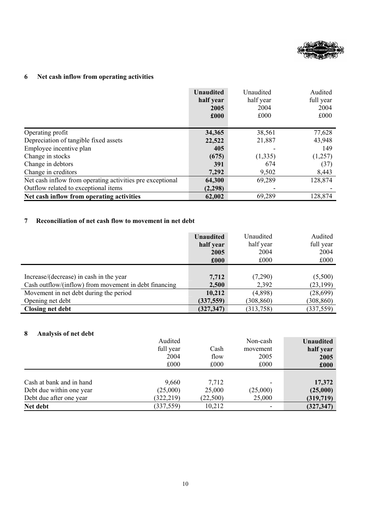

# **6 Net cash inflow from operating activities**

|                                                           | <b>Unaudited</b><br>half year<br>2005<br>£000 | Unaudited<br>half year<br>2004<br>£000 | Audited<br>full year<br>2004<br>£000 |
|-----------------------------------------------------------|-----------------------------------------------|----------------------------------------|--------------------------------------|
| Operating profit                                          | 34,365                                        | 38,561                                 | 77,628                               |
| Depreciation of tangible fixed assets                     | 22,522                                        | 21,887                                 | 43,948                               |
| Employee incentive plan                                   | 405                                           |                                        | 149                                  |
| Change in stocks                                          | (675)                                         | (1, 335)                               | (1,257)                              |
| Change in debtors                                         | 391                                           | 674                                    | (37)                                 |
| Change in creditors                                       | 7,292                                         | 9,502                                  | 8,443                                |
| Net cash inflow from operating activities pre exceptional | 64,300                                        | 69,289                                 | 128,874                              |
| Outflow related to exceptional items                      | (2,298)                                       |                                        |                                      |
| Net cash inflow from operating activities                 | 62,002                                        | 69,289                                 | 128,874                              |

### **7 Reconciliation of net cash flow to movement in net debt**

|                                                       | Unaudited  | Unaudited  | Audited    |
|-------------------------------------------------------|------------|------------|------------|
|                                                       | half year  | half year  | full year  |
|                                                       | 2005       | 2004       | 2004       |
|                                                       | £000       | £000       | £000       |
| Increase/(decrease) in cash in the year               | 7,712      | (7,290)    | (5,500)    |
| Cash outflow/(inflow) from movement in debt financing | 2,500      | 2,392      | (23, 199)  |
| Movement in net debt during the period                | 10,212     | (4,898)    | (28,699)   |
| Opening net debt                                      | (337, 559) | (308, 860) | (308, 860) |
| <b>Closing net debt</b>                               | (327, 347) | (313, 758) | (337, 559) |

## **8 Analysis of net debt**

|                          | Audited<br>full year | Cash     | Non-cash<br>movement | <b>Unaudited</b><br>half year |
|--------------------------|----------------------|----------|----------------------|-------------------------------|
|                          | 2004                 | flow     | 2005                 | 2005                          |
|                          | £000                 | £000     | £000                 | £000                          |
|                          |                      |          |                      |                               |
| Cash at bank and in hand | 9,660                | 7,712    |                      | 17,372                        |
| Debt due within one year | (25,000)             | 25,000   | (25,000)             | (25,000)                      |
| Debt due after one year  | (322, 219)           | (22,500) | 25,000               | (319,719)                     |
| Net debt                 | (337, 559)           | 10,212   |                      | (327, 347)                    |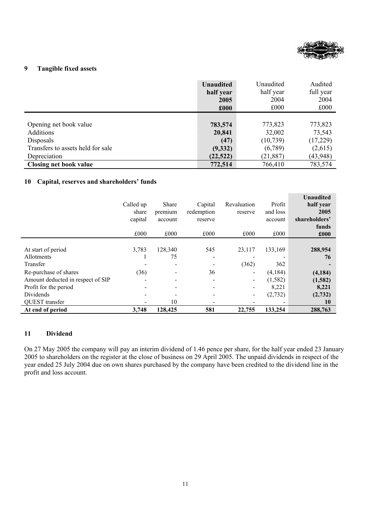

#### **9 Tangible fixed assets**

|                                   | Unaudited | Unaudited | Audited   |
|-----------------------------------|-----------|-----------|-----------|
|                                   | half year | half year | full year |
|                                   | 2005      | 2004      | 2004      |
|                                   | £000      | £000      | £000      |
|                                   |           |           |           |
| Opening net book value            | 783,574   | 773,823   | 773,823   |
| Additions                         | 20,841    | 32,002    | 73,543    |
| Disposals                         | (47)      | (10,739)  | (17,229)  |
| Transfers to assets held for sale | (9, 332)  | (6,789)   | (2,615)   |
| Depreciation                      | (22, 522) | (21, 887) | (43, 948) |
| <b>Closing net book value</b>     | 772,514   | 766,410   | 783,574   |

#### **10 Capital, reserves and shareholders' funds**

|                                   | Called up<br>share<br>capital<br>£000 | Share<br>premium<br>account<br>£000 | Capital<br>redemption<br>reserve<br>£000 | Revaluation<br>reserve<br>£000 | Profit<br>and loss<br>account<br>£000 | <b>Unaudited</b><br>half year<br>2005<br>shareholders'<br>funds<br>£000 |
|-----------------------------------|---------------------------------------|-------------------------------------|------------------------------------------|--------------------------------|---------------------------------------|-------------------------------------------------------------------------|
|                                   |                                       |                                     |                                          |                                |                                       |                                                                         |
| At start of period                | 3,783                                 | 128,340                             | 545                                      | 23,117                         | 133,169                               | 288,954                                                                 |
| <b>Allotments</b>                 |                                       | 75                                  |                                          |                                |                                       | 76                                                                      |
| Transfer                          |                                       |                                     |                                          | (362)                          | 362                                   |                                                                         |
| Re-purchase of shares             | (36)                                  |                                     | 36                                       |                                | (4,184)                               | (4, 184)                                                                |
| Amount deducted in respect of SIP |                                       |                                     |                                          | $\overline{\phantom{a}}$       | (1, 582)                              | (1,582)                                                                 |
| Profit for the period             |                                       |                                     |                                          |                                | 8,221                                 | 8,221                                                                   |
| Dividends                         | $\overline{\phantom{0}}$              |                                     |                                          |                                | (2, 732)                              | (2,732)                                                                 |
| QUEST transfer                    |                                       | 10                                  |                                          |                                |                                       | 10                                                                      |
| At end of period                  | 3,748                                 | 128,425                             | 581                                      | 22,755                         | 133,254                               | 288,763                                                                 |

#### **11 Dividend**

On 27 May 2005 the company will pay an interim dividend of 1.46 pence per share, for the half year ended 23 January 2005 to shareholders on the register at the close of business on 29 April 2005. The unpaid dividends in respect of the year ended 25 July 2004 due on own shares purchased by the company have been credited to the dividend line in the profit and loss account.